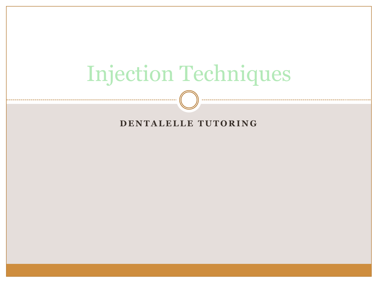# Injection Techniques

#### **DENTALELLE TUTORING**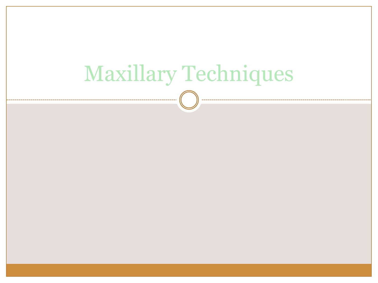# Maxillary Techniques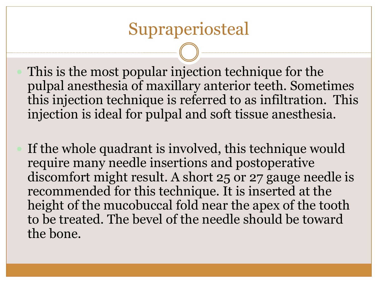#### Supraperiosteal

 This is the most popular injection technique for the pulpal anesthesia of maxillary anterior teeth. Sometimes this injection technique is referred to as infiltration. This injection is ideal for pulpal and soft tissue anesthesia.

 If the whole quadrant is involved, this technique would require many needle insertions and postoperative discomfort might result. A short 25 or 27 gauge needle is recommended for this technique. It is inserted at the height of the mucobuccal fold near the apex of the tooth to be treated. The bevel of the needle should be toward the bone.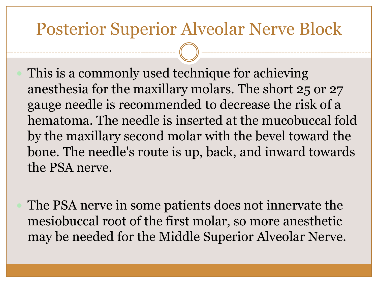# Posterior Superior Alveolar Nerve Block

- This is a commonly used technique for achieving anesthesia for the maxillary molars. The short 25 or 27 gauge needle is recommended to decrease the risk of a hematoma. The needle is inserted at the mucobuccal fold by the maxillary second molar with the bevel toward the bone. The needle's route is up, back, and inward towards the PSA nerve.
- The PSA nerve in some patients does not innervate the mesiobuccal root of the first molar, so more anesthetic may be needed for the Middle Superior Alveolar Nerve.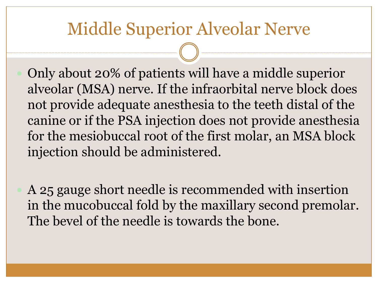# Middle Superior Alveolar Nerve

- Only about 20% of patients will have a middle superior alveolar (MSA) nerve. If the infraorbital nerve block does not provide adequate anesthesia to the teeth distal of the canine or if the PSA injection does not provide anesthesia for the mesiobuccal root of the first molar, an MSA block injection should be administered.
- A 25 gauge short needle is recommended with insertion in the mucobuccal fold by the maxillary second premolar. The bevel of the needle is towards the bone.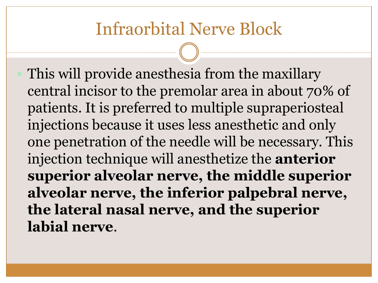# Infraorbital Nerve Block

 This will provide anesthesia from the maxillary central incisor to the premolar area in about 70% of patients. It is preferred to multiple supraperiosteal injections because it uses less anesthetic and only one penetration of the needle will be necessary. This injection technique will anesthetize the **anterior superior alveolar nerve, the middle superior alveolar nerve, the inferior palpebral nerve, the lateral nasal nerve, and the superior labial nerve**.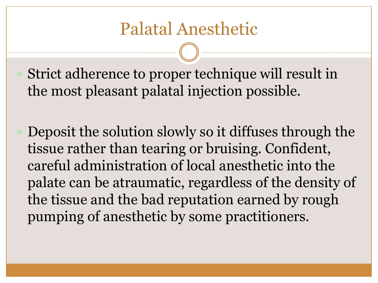Strict adherence to proper technique will result in the most pleasant palatal injection possible.

 Deposit the solution slowly so it diffuses through the tissue rather than tearing or bruising. Confident, careful administration of local anesthetic into the palate can be atraumatic, regardless of the density of the tissue and the bad reputation earned by rough pumping of anesthetic by some practitioners.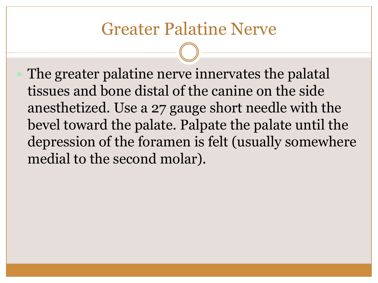# Greater Palatine Nerve

 The greater palatine nerve innervates the palatal tissues and bone distal of the canine on the side anesthetized. Use a 27 gauge short needle with the bevel toward the palate. Palpate the palate until the depression of the foramen is felt (usually somewhere medial to the second molar).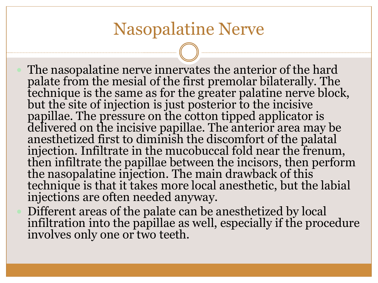# Nasopalatine Nerve

- The nasopalatine nerve innervates the anterior of the hard palate from the mesial of the first premolar bilaterally. The technique is the same as for the greater palatine nerve block, but the site of injection is just posterior to the incisive papillae. The pressure on the cotton tipped applicator is delivered on the incisive papillae. The anterior area may be anesthetized first to diminish the discomfort of the palatal injection. Infiltrate in the mucobuccal fold near the frenum, then infiltrate the papillae between the incisors, then perform the nasopalatine injection. The main drawback of this technique is that it takes more local anesthetic, but the labial injections are often needed anyway.
- Different areas of the palate can be anesthetized by local infiltration into the papillae as well, especially if the procedure involves only one or two teeth.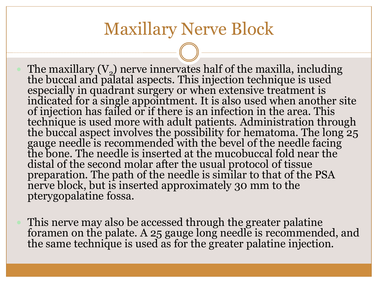#### Maxillary Nerve Block

• The maxillary  $(V_2)$  nerve innervates half of the maxilla, including the buccal and palatal aspects. This injection technique is used especially in quadrant surgery or when extensive treatment is indicated for a single appointment. It is also used when another site of injection has failed or if there is an infection in the area. This technique is used more with adult patients. Administration through the buccal aspect involves the possibility for hematoma. The long 25 gauge needle is recommended with the bevel of the needle facing the bone. The needle is inserted at the mucobuccal fold near the distal of the second molar after the usual protocol of tissue preparation. The path of the needle is similar to that of the PSA nerve block, but is inserted approximately 30 mm to the pterygopalatine fossa.

 This nerve may also be accessed through the greater palatine foramen on the palate. A 25 gauge long needle is recommended, and the same technique is used as for the greater palatine injection.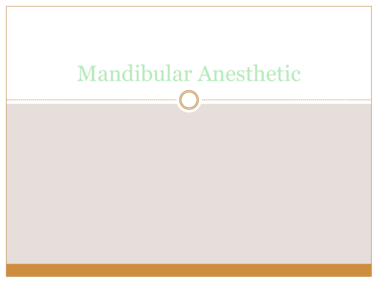# Mandibular Anesthetic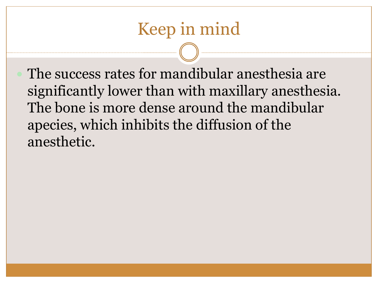# Keep in mind

 The success rates for mandibular anesthesia are significantly lower than with maxillary anesthesia. The bone is more dense around the mandibular apecies, which inhibits the diffusion of the anesthetic.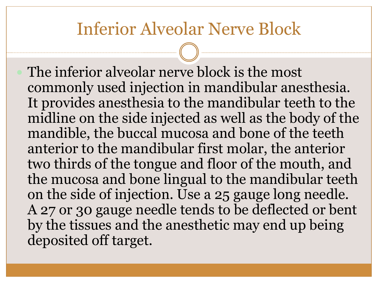#### Inferior Alveolar Nerve Block

 The inferior alveolar nerve block is the most commonly used injection in mandibular anesthesia. It provides anesthesia to the mandibular teeth to the midline on the side injected as well as the body of the mandible, the buccal mucosa and bone of the teeth anterior to the mandibular first molar, the anterior two thirds of the tongue and floor of the mouth, and the mucosa and bone lingual to the mandibular teeth on the side of injection. Use a 25 gauge long needle. A 27 or 30 gauge needle tends to be deflected or bent by the tissues and the anesthetic may end up being deposited off target.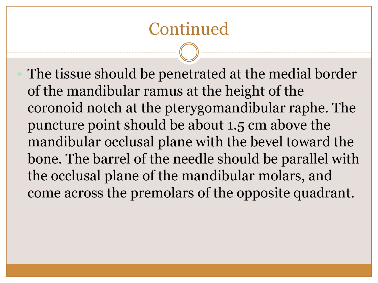# Continued

 The tissue should be penetrated at the medial border of the mandibular ramus at the height of the coronoid notch at the pterygomandibular raphe. The puncture point should be about 1.5 cm above the mandibular occlusal plane with the bevel toward the bone. The barrel of the needle should be parallel with the occlusal plane of the mandibular molars, and come across the premolars of the opposite quadrant.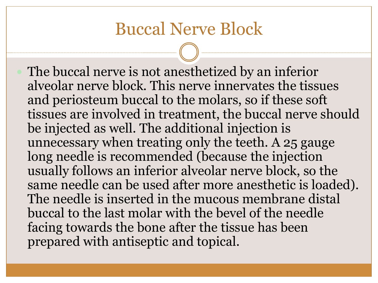#### Buccal Nerve Block

 The buccal nerve is not anesthetized by an inferior alveolar nerve block. This nerve innervates the tissues and periosteum buccal to the molars, so if these soft tissues are involved in treatment, the buccal nerve should be injected as well. The additional injection is unnecessary when treating only the teeth. A 25 gauge long needle is recommended (because the injection usually follows an inferior alveolar nerve block, so the same needle can be used after more anesthetic is loaded). The needle is inserted in the mucous membrane distal buccal to the last molar with the bevel of the needle facing towards the bone after the tissue has been prepared with antiseptic and topical.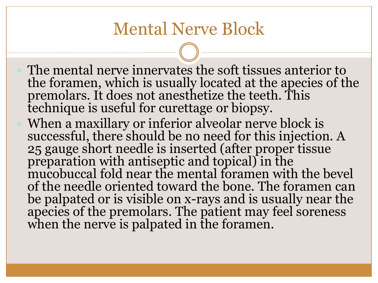#### Mental Nerve Block

- The mental nerve innervates the soft tissues anterior to the foramen, which is usually located at the apecies of the premolars. It does not anesthetize the teeth. This technique is useful for curettage or biopsy.
- When a maxillary or inferior alveolar nerve block is successful, there should be no need for this injection. A 25 gauge short needle is inserted (after proper tissue preparation with antiseptic and topical) in the mucobuccal fold near the mental foramen with the bevel of the needle oriented toward the bone. The foramen can be palpated or is visible on x-rays and is usually near the apecies of the premolars. The patient may feel soreness when the nerve is palpated in the foramen.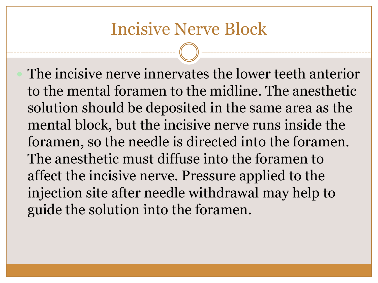#### Incisive Nerve Block

 The incisive nerve innervates the lower teeth anterior to the mental foramen to the midline. The anesthetic solution should be deposited in the same area as the mental block, but the incisive nerve runs inside the foramen, so the needle is directed into the foramen. The anesthetic must diffuse into the foramen to affect the incisive nerve. Pressure applied to the injection site after needle withdrawal may help to guide the solution into the foramen.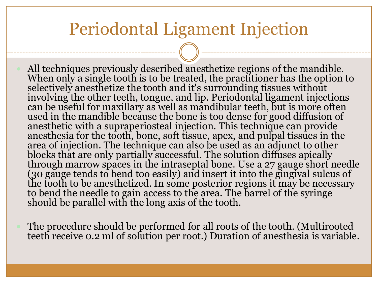#### Periodontal Ligament Injection

- All techniques previously described anesthetize regions of the mandible. When only a single tooth is to be treated, the practitioner has the option to selectively anesthetize the tooth and it's surrounding tissues without involving the other teeth, tongue, and lip. Periodontal ligament injections can be useful for maxillary as well as mandibular teeth, but is more often used in the mandible because the bone is too dense for good diffusion of anesthetic with a supraperiosteal injection. This technique can provide anesthesia for the tooth, bone, soft tissue, apex, and pulpal tissues in the area of injection. The technique can also be used as an adjunct to other blocks that are only partially successful. The solution diffuses apically through marrow spaces in the intraseptal bone. Use a 27 gauge short needle (30 gauge tends to bend too easily) and insert it into the gingival sulcus of the tooth to be anesthetized. In some posterior regions it may be necessary to bend the needle to gain access to the area. The barrel of the syringe should be parallel with the long axis of the tooth.
- The procedure should be performed for all roots of the tooth. (Multirooted teeth receive 0.2 ml of solution per root.) Duration of anesthesia is variable.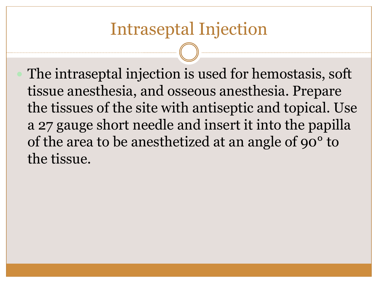The intraseptal injection is used for hemostasis, soft tissue anesthesia, and osseous anesthesia. Prepare the tissues of the site with antiseptic and topical. Use a 27 gauge short needle and insert it into the papilla of the area to be anesthetized at an angle of 90° to the tissue.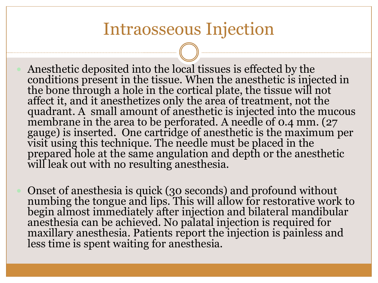#### Intraosseous Injection

- Anesthetic deposited into the local tissues is effected by the conditions present in the tissue. When the anesthetic is injected in the bone through a hole in the cortical plate, the tissue will not affect it, and it anesthetizes only the area of treatment, not the quadrant. A small amount of anesthetic is injected into the mucous membrane in the area to be perforated. A needle of 0.4 mm. (27 gauge) is inserted. One cartridge of anesthetic is the maximum per visit using this technique. The needle must be placed in the prepared hole at the same angulation and depth or the anesthetic will leak out with no resulting anesthesia.
- Onset of anesthesia is quick (30 seconds) and profound without numbing the tongue and lips. This will allow for restorative work to begin almost immediately after injection and bilateral mandibular anesthesia can be achieved. No palatal injection is required for maxillary anesthesia. Patients report the injection is painless and less time is spent waiting for anesthesia.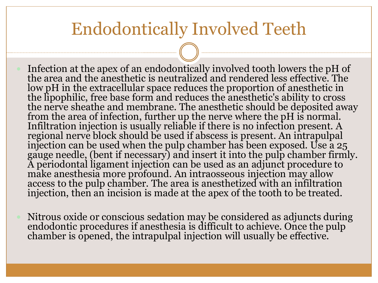#### Endodontically Involved Teeth

- Infection at the apex of an endodontically involved tooth lowers the pH of the area and the anesthetic is neutralized and rendered less effective. The low pH in the extracellular space reduces the proportion of anesthetic in the lipophilic, free base form and reduces the anesthetic's ability to cross the nerve sheathe and membrane. The anesthetic should be deposited away from the area of infection, further up the nerve where the pH is normal. Infiltration injection is usually reliable if there is no infection present. A regional nerve block should be used if abscess is present. An intrapulpal injection can be used when the pulp chamber has been exposed. Use a  $25$ gauge needle, (bent if necessary) and insert it into the pulp chamber firmly. A periodontal ligament injection can be used as an adjunct procedure to make anesthesia more profound. An intraosseous injection may allow access to the pulp chamber. The area is anesthetized with an infiltration injection, then an incision is made at the apex of the tooth to be treated.
- Nitrous oxide or conscious sedation may be considered as adjuncts during endodontic procedures if anesthesia is difficult to achieve. Once the pulp chamber is opened, the intrapulpal injection will usually be effective.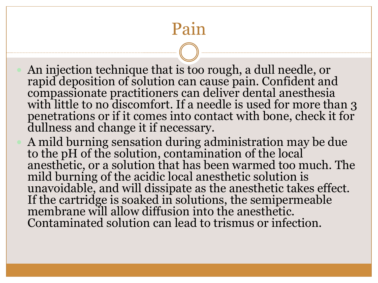# Pain

- An injection technique that is too rough, a dull needle, or rapid deposition of solution can cause pain. Confident and compassionate practitioners can deliver dental anesthesia with little to no discomfort. If a needle is used for more than 3 penetrations or if it comes into contact with bone, check it for dullness and change it if necessary.
- A mild burning sensation during administration may be due to the pH of the solution, contamination of the local anesthetic, or a solution that has been warmed too much. The mild burning of the acidic local anesthetic solution is unavoidable, and will dissipate as the anesthetic takes effect. If the cartridge is soaked in solutions, the semipermeable membrane will allow diffusion into the anesthetic. Contaminated solution can lead to trismus or infection.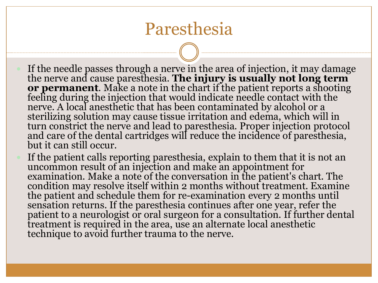#### Paresthesia

- If the needle passes through a nerve in the area of injection, it may damage the nerve and cause paresthesia. **The injury is usually not long term or permanent**. Make a note in the chart if the patient reports a shooting feeling during the injection that would indicate needle contact with the nerve. A local anesthetic that has been contaminated by alcohol or a sterilizing solution may cause tissue irritation and edema, which will in turn constrict the nerve and lead to paresthesia. Proper injection protocol and care of the dental cartridges will reduce the incidence of paresthesia, but it can still occur.
- If the patient calls reporting paresthesia, explain to them that it is not an uncommon result of an injection and make an appointment for examination. Make a note of the conversation in the patient's chart. The condition may resolve itself within 2 months without treatment. Examine the patient and schedule them for re-examination every 2 months until sensation returns. If the paresthesia continues after one year, refer the patient to a neurologist or oral surgeon for a consultation. If further dental treatment is required in the area, use an alternate local anesthetic technique to avoid further trauma to the nerve.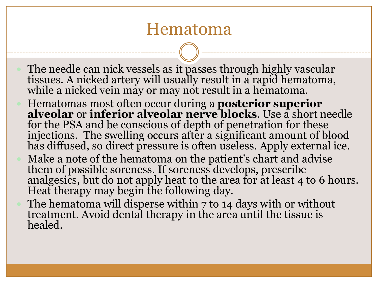#### Hematoma

- The needle can nick vessels as it passes through highly vascular tissues. A nicked artery will usually result in a rapid hematoma, while a nicked vein may or may not result in a hematoma.
- Hematomas most often occur during a **posterior superior alveolar** or **inferior alveolar nerve blocks**. Use a short needle for the PSA and be conscious of depth of penetration for these injections. The swelling occurs after a significant amount of blood has diffused, so direct pressure is often useless. Apply external ice.
- Make a note of the hematoma on the patient's chart and advise them of possible soreness. If soreness develops, prescribe analgesics, but do not apply heat to the area for at least 4 to 6 hours. Heat therapy may begin the following day.
- The hematoma will disperse within 7 to 14 days with or without treatment. Avoid dental therapy in the area until the tissue is healed.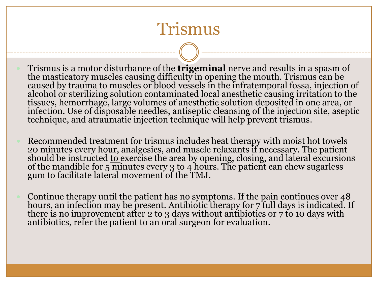# Trismus

- Trismus is a motor disturbance of the **trigeminal** nerve and results in a spasm of the masticatory muscles causing difficulty in opening the mouth. Trismus can be caused by trauma to muscles or blood vessels in the infratemporal fossa, injection of alcohol or sterilizing solution contaminated local anesthetic causing irritation to the tissues, hemorrhage, large volumes of anesthetic solution deposited in one area, or infection. Use of disposable needles, antiseptic cleansing of the injection site, aseptic technique, and atraumatic injection technique will help prevent trismus.
- Recommended treatment for trismus includes heat therapy with moist hot towels 20 minutes every hour, analgesics, and muscle relaxants if necessary. The patient should be instructed <u>to e</u>xercise the area by opening, closing, and lateral excursions of the mandible for 5 minutes every 3 to 4 hours. The patient can chew sugarless gum to facilitate lateral movement of the TMJ.
- Continue therapy until the patient has no symptoms. If the pain continues over 48 hours, an infection may be present. Antibiotic therapy for 7 full days is indicated. If there is no improvement after 2 to 3 days without antibiotics or 7 to 10 days with antibiotics, refer the patient to an oral surgeon for evaluation.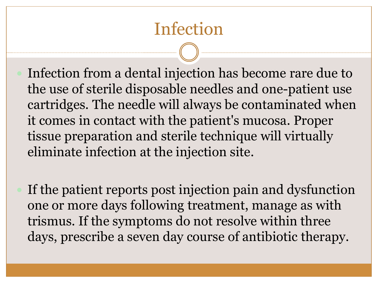# Infection

- Infection from a dental injection has become rare due to the use of sterile disposable needles and one-patient use cartridges. The needle will always be contaminated when it comes in contact with the patient's mucosa. Proper tissue preparation and sterile technique will virtually eliminate infection at the injection site.
- If the patient reports post injection pain and dysfunction one or more days following treatment, manage as with trismus. If the symptoms do not resolve within three days, prescribe a seven day course of antibiotic therapy.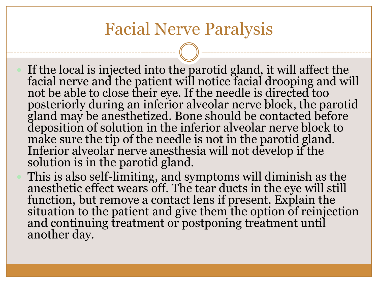# Facial Nerve Paralysis

- If the local is injected into the parotid gland, it will affect the facial nerve and the patient will notice facial drooping and will not be able to close their eye. If the needle is directed too posteriorly during an inferior alveolar nerve block, the parotid gland may be anesthetized. Bone should be contacted before deposition of solution in the inferior alveolar nerve block to make sure the tip of the needle is not in the parotid gland. Inferior alveolar nerve anesthesia will not develop if the solution is in the parotid gland.
- This is also self-limiting, and symptoms will diminish as the anesthetic effect wears off. The tear ducts in the eye will still function, but remove a contact lens if present. Explain the situation to the patient and give them the option of reinjection and continuing treatment or postponing treatment until another day.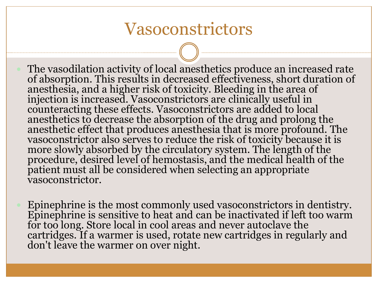#### Vasoconstrictors

- The vasodilation activity of local anesthetics produce an increased rate of absorption. This results in decreased effectiveness, short duration of anesthesia, and a higher risk of toxicity. Bleeding in the area of injection is increased. Vasoconstrictors are clinically useful in counteracting these effects. Vasoconstrictors are added to local anesthetics to decrease the absorption of the drug and prolong the anesthetic effect that produces anesthesia that is more profound. The vasoconstrictor also serves to reduce the risk of toxicity because it is more slowly absorbed by the circulatory system. The length of the procedure, desired level of hemostasis, and the medical health of the patient must all be considered when selecting an appropriate vasoconstrictor.
	- Epinephrine is the most commonly used vasoconstrictors in dentistry. Epinephrine is sensitive to heat and can be inactivated if left too warm for too long. Store local in cool areas and never autoclave the cartridges. If a warmer is used, rotate new cartridges in regularly and don't leave the warmer on over night.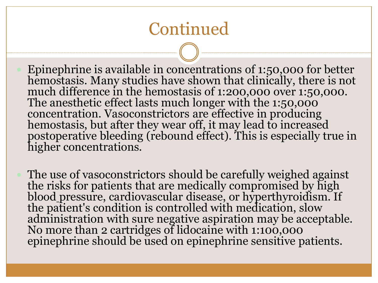# Continued

- Epinephrine is available in concentrations of 1:50,000 for better hemostasis. Many studies have shown that clinically, there is not much difference in the hemostasis of 1:200,000 over 1:50,000. The anesthetic effect lasts much longer with the 1:50,000 concentration. Vasoconstrictors are effective in producing hemostasis, but after they wear off, it may lead to increased postoperative bleeding (rebound effect). This is especially true in higher concentrations.
- The use of vasoconstrictors should be carefully weighed against the risks for patients that are medically compromised by high blood pressure, cardiovascular disease, or hyperthyroidism. If the patient's condition is controlled with medication, slow administration with sure negative aspiration may be acceptable. No more than 2 cartridges of lidocaine with 1:100,000 epinephrine should be used on epinephrine sensitive patients.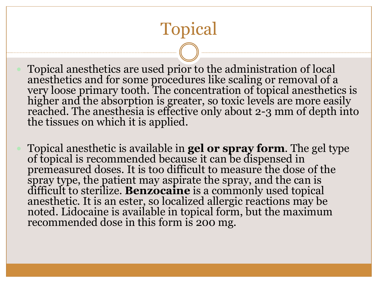# Topical

 Topical anesthetics are used prior to the administration of local anesthetics and for some procedures like scaling or removal of a very loose primary tooth. The concentration of topical anesthetics is higher and the absorption is greater, so toxic levels are more easily reached. The anesthesia is effective only about 2-3 mm of depth into the tissues on which it is applied.

 Topical anesthetic is available in **gel or spray form**. The gel type of topical is recommended because it can be dispensed in premeasured doses. It is too difficult to measure the dose of the spray type, the patient may aspirate the spray, and the can is difficult to sterilize. **Benzocaine** is a commonly used topical anesthetic. It is an ester, so localized allergic reactions may be noted. Lidocaine is available in topical form, but the maximum recommended dose in this form is 200 mg.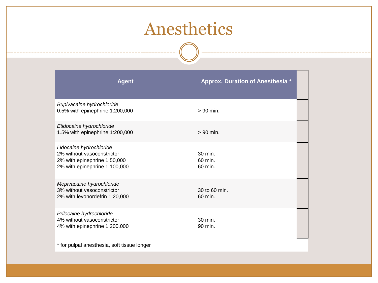# Anesthetics

. . . . . .

| <b>Agent</b>                                                                                                           | <b>Approx. Duration of Anesthesia *</b> |
|------------------------------------------------------------------------------------------------------------------------|-----------------------------------------|
| Bupivacaine hydrochloride<br>0.5% with epinephrine 1:200,000                                                           | $> 90$ min.                             |
| Etidocaine hydrochloride<br>1.5% with epinephrine 1:200,000                                                            | $> 90$ min.                             |
| Lidocaine hydrochloride<br>2% without vasoconstrictor<br>2% with epinephrine 1:50,000<br>2% with epinephrine 1:100,000 | 30 min.<br>$60$ min.<br>60 min.         |
| Mepivacaine hydrochloride<br>3% without vasoconstrictor<br>2% with levonordefrin 1:20,000                              | 30 to 60 min.<br>60 min.                |
| Prilocaine hydrochloride<br>4% without vasoconstrictor<br>4% with epinephrine 1:200.000                                | 30 min.<br>90 min.                      |

\* for pulpal anesthesia, soft tissue longer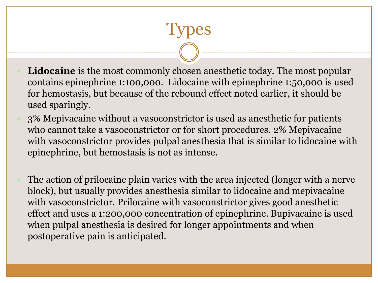**Lidocaine** is the most commonly chosen anesthetic today. The most popular contains epinephrine 1:100,000. Lidocaine with epinephrine 1:50,000 is used for hemostasis, but because of the rebound effect noted earlier, it should be used sparingly.

Types

- 3% Mepivacaine without a vasoconstrictor is used as anesthetic for patients who cannot take a vasoconstrictor or for short procedures. 2% Mepivacaine with vasoconstrictor provides pulpal anesthesia that is similar to lidocaine with epinephrine, but hemostasis is not as intense.
- The action of prilocaine plain varies with the area injected (longer with a nerve block), but usually provides anesthesia similar to lidocaine and mepivacaine with vasoconstrictor. Prilocaine with vasoconstrictor gives good anesthetic effect and uses a 1:200,000 concentration of epinephrine. Bupivacaine is used when pulpal anesthesia is desired for longer appointments and when postoperative pain is anticipated.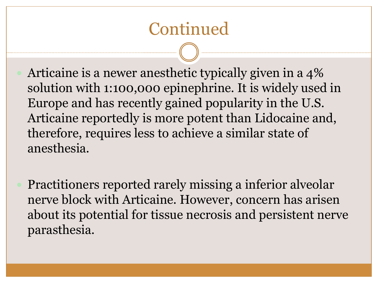# Continued

- Articaine is a newer anesthetic typically given in a 4% solution with 1:100,000 epinephrine. It is widely used in Europe and has recently gained popularity in the U.S. Articaine reportedly is more potent than Lidocaine and, therefore, requires less to achieve a similar state of anesthesia.
- Practitioners reported rarely missing a inferior alveolar nerve block with Articaine. However, concern has arisen about its potential for tissue necrosis and persistent nerve parasthesia.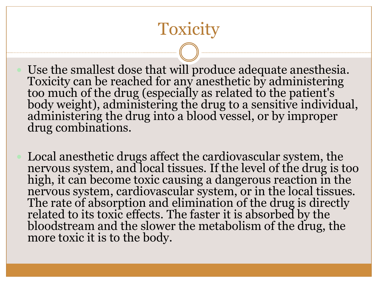# **Toxicity**

 Use the smallest dose that will produce adequate anesthesia. Toxicity can be reached for any anesthetic by administering too much of the drug (especially as related to the patient's body weight), administering the drug to a sensitive individual, administering the drug into a blood vessel, or by improper drug combinations.

 Local anesthetic drugs affect the cardiovascular system, the nervous system, and local tissues. If the level of the drug is too high, it can become toxic causing a dangerous reaction in the nervous system, cardiovascular system, or in the local tissues. The rate of absorption and elimination of the drug is directly related to its toxic effects. The faster it is absorbed by the bloodstream and the slower the metabolism of the drug, the more toxic it is to the body.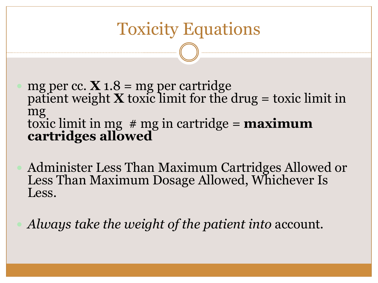# Toxicity Equations

- $\bullet$  mg per cc. **X** 1.8 = mg per cartridge patient weight  $\bf{X}$  toxic limit for the drug = toxic limit in mg toxic limit in mg # mg in cartridge = **maximum cartridges allowed**
- Administer Less Than Maximum Cartridges Allowed or Less Than Maximum Dosage Allowed, Whichever Is Less.
- *Always take the weight of the patient into* account*.*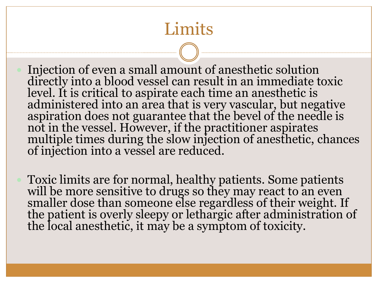# **Limits**

 Injection of even a small amount of anesthetic solution directly into a blood vessel can result in an immediate toxic level. It is critical to aspirate each time an anesthetic is administered into an area that is very vascular, but negative aspiration does not guarantee that the bevel of the needle is not in the vessel. However, if the practitioner aspirates multiple times during the slow injection of anesthetic, chances of injection into a vessel are reduced.

 Toxic limits are for normal, healthy patients. Some patients will be more sensitive to drugs so they may react to an even smaller dose than someone else regardless of their weight. If the patient is overly sleepy or lethargic after administration of the local anesthetic, it may be a symptom of toxicity.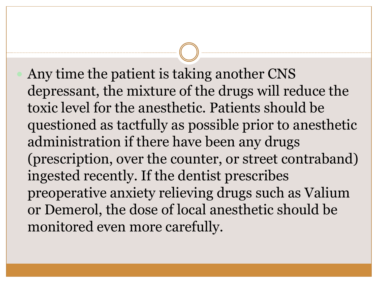Any time the patient is taking another CNS depressant, the mixture of the drugs will reduce the toxic level for the anesthetic. Patients should be questioned as tactfully as possible prior to anesthetic administration if there have been any drugs (prescription, over the counter, or street contraband) ingested recently. If the dentist prescribes preoperative anxiety relieving drugs such as Valium or Demerol, the dose of local anesthetic should be monitored even more carefully.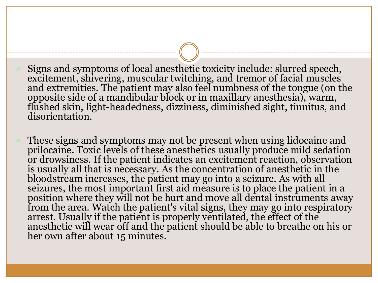- Signs and symptoms of local anesthetic toxicity include: slurred speech, excitement, shivering, muscular twitching, and tremor of facial muscles and extremities. The patient may also feel numbness of the tongue (on the opposite side of a mandibular block or in maxillary anesthesia), warm, flushed skin, light-headedness, dizziness, diminished sight, tinnitus, and disorientation.
- These signs and symptoms may not be present when using lidocaine and prilocaine. Toxic levels of these anesthetics usually produce mild sedation or drowsiness. If the patient indicates an excitement reaction, observation is usually all that is necessary. As the concentration of anesthetic in the bloodstream increases, the patient may go into a seizure. As with all seizures, the most important first aid measure is to place the patient in a position where they will not be hurt and move all dental instruments away from the area. Watch the patient's vital signs, they may go into respiratory arrest. Usually if the patient is properly ventilated, the effect of the anesthetic will wear off and the patient should be able to breathe on his or her own after about 15 minutes.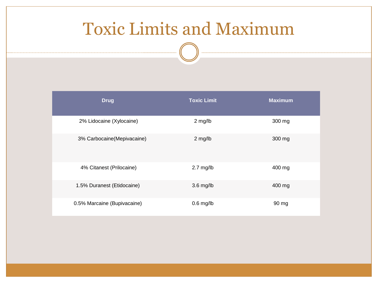# Toxic Limits and Maximum

| <b>Drug</b>                 | <b>Toxic Limit</b> | <b>Maximum</b> |
|-----------------------------|--------------------|----------------|
| 2% Lidocaine (Xylocaine)    | 2 mg/lb            | 300 mg         |
| 3% Carbocaine(Mepivacaine)  | 2 mg/lb            | 300 mg         |
| 4% Citanest (Prilocaine)    | $2.7$ mg/lb        | 400 mg         |
| 1.5% Duranest (Etidocaine)  | $3.6$ mg/lb        | 400 mg         |
| 0.5% Marcaine (Bupivacaine) | $0.6$ mg/lb        | 90 mg          |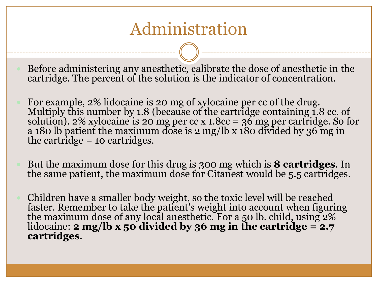# Administration

 Before administering any anesthetic, calibrate the dose of anesthetic in the cartridge. The percent of the solution is the indicator of concentration.

- For example, 2% lidocaine is 20 mg of xylocaine per cc of the drug. Multiply this number by 1.8 (because of the cartridge containing 1.8 cc. of solution). 2% xylocaine is 20 mg per cc x 1.8cc = 36 mg per cartridge. So for a 180 lb patient the maximum dose is 2 mg/lb x 180 divided by 36 mg in the cartridge = 10 cartridges.
- But the maximum dose for this drug is 300 mg which is **8 cartridges**. In the same patient, the maximum dose for Citanest would be 5.5 cartridges.
- Children have a smaller body weight, so the toxic level will be reached faster. Remember to take the patient's weight into account when figuring the maximum dose of any local anesthetic. For a 50 lb. child, using 2% lidocaine: **2 mg/lb x 50 divided by 36 mg in the cartridge = 2.7 cartridges**.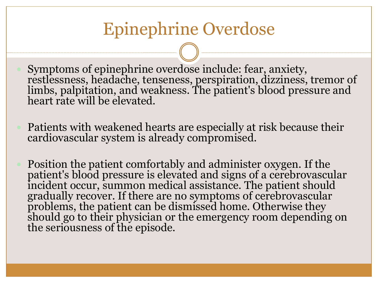# Epinephrine Overdose

- Symptoms of epinephrine overdose include: fear, anxiety, restlessness, headache, tenseness, perspiration, dizziness, tremor of limbs, palpitation, and weakness. The patient's blood pressure and heart rate will be elevated.
- Patients with weakened hearts are especially at risk because their cardiovascular system is already compromised.
- Position the patient comfortably and administer oxygen. If the patient's blood pressure is elevated and signs of a cerebrovascular incident occur, summon medical assistance. The patient should gradually recover. If there are no symptoms of cerebrovascular problems, the patient can be dismissed home. Otherwise they should go to their physician or the emergency room depending on the seriousness of the episode.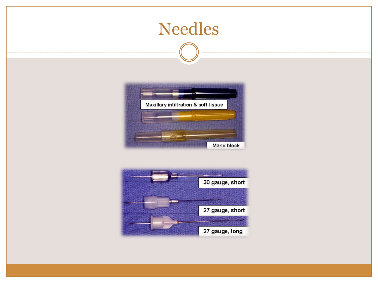